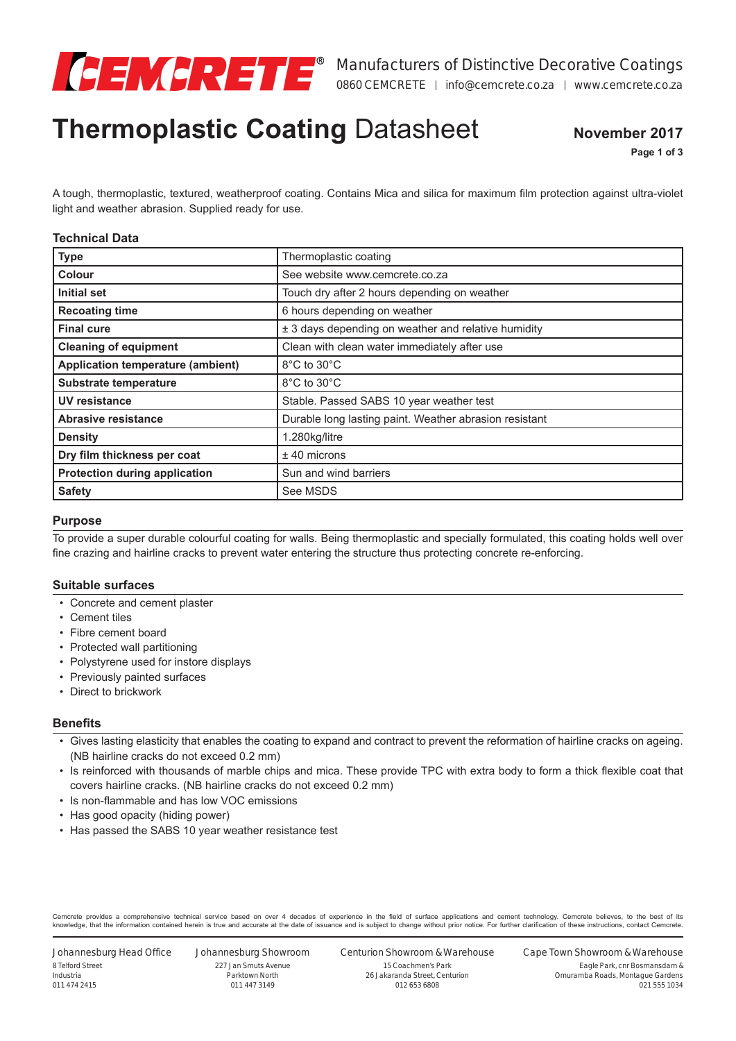

# **Thermoplastic Coating** Datasheet

**November 2017**

**Page 1 of 3**

A tough, thermoplastic, textured, weatherproof coating. Contains Mica and silica for maximum film protection against ultra-violet light and weather abrasion. Supplied ready for use.

#### **Technical Data**

| <b>Type</b>                              | Thermoplastic coating                                  |
|------------------------------------------|--------------------------------------------------------|
| Colour                                   | See website www.cemcrete.co.za                         |
| Initial set                              | Touch dry after 2 hours depending on weather           |
| <b>Recoating time</b>                    | 6 hours depending on weather                           |
| <b>Final cure</b>                        | ± 3 days depending on weather and relative humidity    |
| <b>Cleaning of equipment</b>             | Clean with clean water immediately after use           |
| <b>Application temperature (ambient)</b> | 8°C to 30°C                                            |
| <b>Substrate temperature</b>             | 8°C to 30°C                                            |
| UV resistance                            | Stable. Passed SABS 10 year weather test               |
| <b>Abrasive resistance</b>               | Durable long lasting paint. Weather abrasion resistant |
| <b>Density</b>                           | 1.280kg/litre                                          |
| Dry film thickness per coat              | $±$ 40 microns                                         |
| <b>Protection during application</b>     | Sun and wind barriers                                  |
| <b>Safety</b>                            | See MSDS                                               |

#### **Purpose**

To provide a super durable colourful coating for walls. Being thermoplastic and specially formulated, this coating holds well over fine crazing and hairline cracks to prevent water entering the structure thus protecting concrete re-enforcing.

#### **Suitable surfaces**

- Concrete and cement plaster
- Cement tiles
- Fibre cement board
- Protected wall partitioning
- Polystyrene used for instore displays
- Previously painted surfaces
- Direct to brickwork

#### **Benefits**

- Gives lasting elasticity that enables the coating to expand and contract to prevent the reformation of hairline cracks on ageing. (NB hairline cracks do not exceed 0.2 mm)
- Is reinforced with thousands of marble chips and mica. These provide TPC with extra body to form a thick flexible coat that covers hairline cracks. (NB hairline cracks do not exceed 0.2 mm)
- Is non-flammable and has low VOC emissions
- Has good opacity (hiding power)
- Has passed the SABS 10 year weather resistance test

Cemcrete provides a comprehensive technical service based on over 4 decades of experience in the field of surface applications and cement technology. Cemcrete believes, to the best of its knowledge, that the information contained herein is true and accurate at the date of issuance and is subject to change without prior notice. For further clarification of these instructions, contact Cemcrete.

Johannesburg Head Office 8 Telford Street Industria 011 474 2415

Johannesburg Showroom 227 Jan Smuts Avenue Parktown North 011 447 3149

Centurion Showroom & Warehouse

15 Coachmen's Park 26 Jakaranda Street, Centurion 012 653 6808

Cape Town Showroom & Warehouse Eagle Park, cnr Bosmansdam &

Omuramba Roads, Montague Gardens 021 555 1034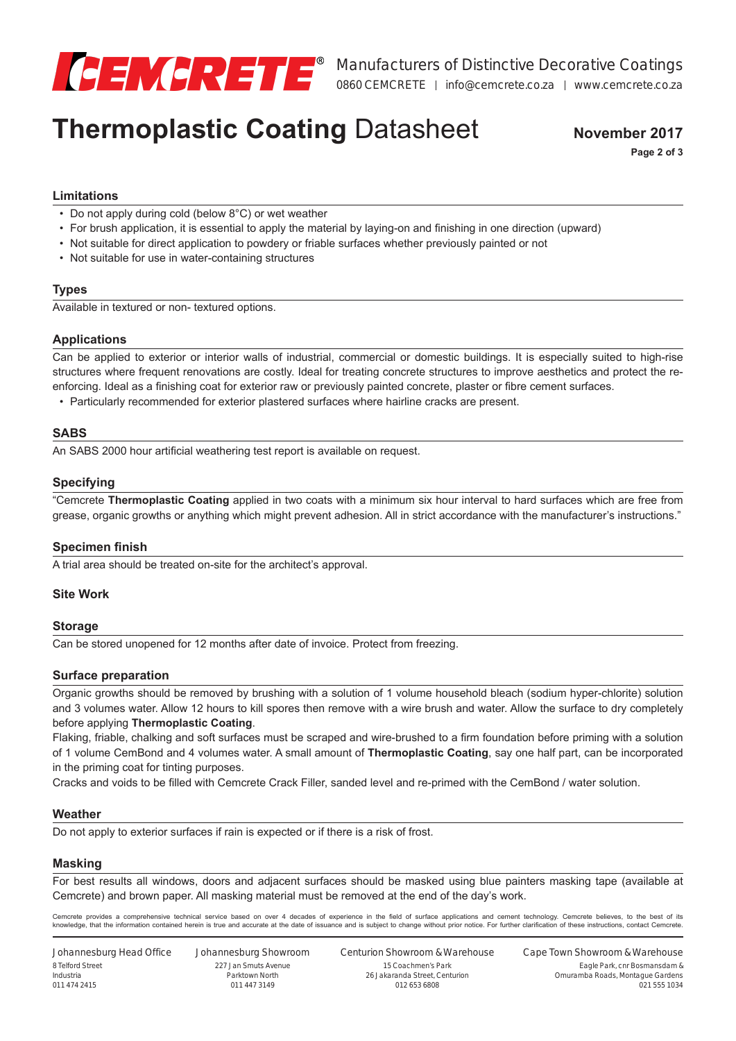

## **Thermoplastic Coating** Datasheet

**November 2017 Page 2 of 3**

### **Limitations**

- Do not apply during cold (below 8°C) or wet weather
- For brush application, it is essential to apply the material by laying-on and finishing in one direction (upward)
- Not suitable for direct application to powdery or friable surfaces whether previously painted or not
- Not suitable for use in water-containing structures

#### **Types**

Available in textured or non- textured options.

#### **Applications**

Can be applied to exterior or interior walls of industrial, commercial or domestic buildings. It is especially suited to high-rise structures where frequent renovations are costly. Ideal for treating concrete structures to improve aesthetics and protect the reenforcing. Ideal as a finishing coat for exterior raw or previously painted concrete, plaster or fibre cement surfaces.

• Particularly recommended for exterior plastered surfaces where hairline cracks are present.

#### **SABS**

An SABS 2000 hour artificial weathering test report is available on request.

#### **Specifying**

"Cemcrete **Thermoplastic Coating** applied in two coats with a minimum six hour interval to hard surfaces which are free from grease, organic growths or anything which might prevent adhesion. All in strict accordance with the manufacturer's instructions."

#### **Specimen finish**

A trial area should be treated on-site for the architect's approval.

#### **Site Work**

#### **Storage**

Can be stored unopened for 12 months after date of invoice. Protect from freezing.

#### **Surface preparation**

Organic growths should be removed by brushing with a solution of 1 volume household bleach (sodium hyper-chlorite) solution and 3 volumes water. Allow 12 hours to kill spores then remove with a wire brush and water. Allow the surface to dry completely before applying **Thermoplastic Coating**.

Flaking, friable, chalking and soft surfaces must be scraped and wire-brushed to a firm foundation before priming with a solution of 1 volume CemBond and 4 volumes water. A small amount of **Thermoplastic Coating**, say one half part, can be incorporated in the priming coat for tinting purposes.

Cracks and voids to be filled with Cemcrete Crack Filler, sanded level and re-primed with the CemBond / water solution.

#### **Weather**

Do not apply to exterior surfaces if rain is expected or if there is a risk of frost.

#### **Masking**

For best results all windows, doors and adjacent surfaces should be masked using blue painters masking tape (available at Cemcrete) and brown paper. All masking material must be removed at the end of the day's work.

Cemcrete provides a comprehensive technical service based on over 4 decades of experience in the field of surface applications and cement technology. Cemcrete believes, to the best of its knowledge, that the information contained herein is true and accurate at the date of issuance and is subject to change without prior notice. For further clarification of these instructions, contact Cemcrete.

Johannesburg Head Office 8 Telford Street Industria 011 474 2415

Johannesburg Showroom 227 Jan Smuts Avenue Parktown North 011 447 3149

Centurion Showroom & Warehouse 15 Coachmen's Park 26 Jakaranda Street, Centurion 012 653 6808

Cape Town Showroom & Warehouse Eagle Park, cnr Bosmansdam &

021 555 1034